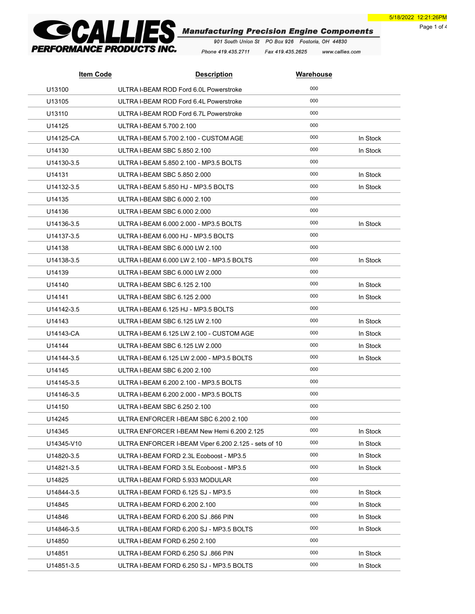Page 1 of 4



Phone 419.435.2711 Fax 419.435.2625 www.callies.com

| <b>Item Code</b> | <b>Description</b>                                   | <b>Warehouse</b> |          |
|------------------|------------------------------------------------------|------------------|----------|
| U13100           | ULTRA I-BEAM ROD Ford 6.0L Powerstroke               | 000              |          |
| U13105           | ULTRA I-BEAM ROD Ford 6.4L Powerstroke               | 000              |          |
| U13110           | ULTRA I-BEAM ROD Ford 6.7L Powerstroke               | 000              |          |
| U14125           | ULTRA I-BEAM 5.700 2.100                             | 000              |          |
| U14125-CA        | ULTRA I-BEAM 5.700 2.100 - CUSTOM AGE                | 000              | In Stock |
| U14130           | ULTRA I-BEAM SBC 5.850 2.100                         | 000              | In Stock |
| U14130-3.5       | ULTRA I-BEAM 5.850 2.100 - MP3.5 BOLTS               | 000              |          |
| U14131           | ULTRA I-BEAM SBC 5.850 2.000                         | 000              | In Stock |
| U14132-3.5       | ULTRA I-BEAM 5.850 HJ - MP3.5 BOLTS                  | 000              | In Stock |
| U14135           | ULTRA I-BEAM SBC 6.000 2.100                         | 000              |          |
| U14136           | ULTRA I-BEAM SBC 6,000 2,000                         | 000              |          |
| U14136-3.5       | ULTRA I-BEAM 6.000 2.000 - MP3.5 BOLTS               | 000              | In Stock |
| U14137-3.5       | ULTRA I-BEAM 6.000 HJ - MP3.5 BOLTS                  | 000              |          |
| U14138           | ULTRA I-BEAM SBC 6.000 LW 2.100                      | 000              |          |
| U14138-3.5       | ULTRA I-BEAM 6.000 LW 2.100 - MP3.5 BOLTS            | 000              | In Stock |
| U14139           | ULTRA I-BEAM SBC 6,000 LW 2,000                      | 000              |          |
| U14140           | ULTRA I-BEAM SBC 6.125 2.100                         | 000              | In Stock |
| U14141           | ULTRA I-BEAM SBC 6.125 2.000                         | 000              | In Stock |
| U14142-3.5       | ULTRA I-BEAM 6.125 HJ - MP3.5 BOLTS                  | 000              |          |
| U14143           | ULTRA I-BEAM SBC 6.125 LW 2.100                      | 000              | In Stock |
| U14143-CA        | ULTRA I-BEAM 6.125 LW 2.100 - CUSTOM AGE             | 000              | In Stock |
| U14144           | ULTRA I-BEAM SBC 6.125 LW 2.000                      | 000              | In Stock |
| U14144-3.5       | ULTRA I-BEAM 6.125 LW 2.000 - MP3.5 BOLTS            | 000              | In Stock |
| U14145           | ULTRA I-BEAM SBC 6.200 2.100                         | 000              |          |
| U14145-3.5       | ULTRA I-BEAM 6.200 2.100 - MP3.5 BOLTS               | 000              |          |
| U14146-3.5       | ULTRA I-BEAM 6.200 2.000 - MP3.5 BOLTS               | 000              |          |
| U14150           | ULTRA I-BEAM SBC 6.250 2.100                         | 000              |          |
| U14245           | ULTRA ENFORCER I-BEAM SBC 6.200 2.100                | 000              |          |
| U14345           | ULTRA ENFORCER I-BEAM New Hemi 6.200 2.125           | 000              | In Stock |
| U14345-V10       | ULTRA ENFORCER I-BEAM Viper 6.200 2.125 - sets of 10 | 000              | In Stock |
| U14820-3.5       | ULTRA I-BEAM FORD 2.3L Ecoboost - MP3.5              | 000              | In Stock |
| U14821-3.5       | ULTRA I-BEAM FORD 3.5L Ecoboost - MP3.5              | 000              | In Stock |
| U14825           | ULTRA I-BEAM FORD 5.933 MODULAR                      | 000              |          |
| U14844-3.5       | ULTRA I-BEAM FORD 6.125 SJ - MP3.5                   | 000              | In Stock |
| U14845           | ULTRA I-BEAM FORD 6.200 2.100                        | 000              | In Stock |
| U14846           | ULTRA I-BEAM FORD 6.200 SJ .866 PIN                  | 000              | In Stock |
| U14846-3.5       | ULTRA I-BEAM FORD 6.200 SJ - MP3.5 BOLTS             | 000              | In Stock |
| U14850           | ULTRA I-BEAM FORD 6.250 2.100                        | 000              |          |
| U14851           | ULTRA I-BEAM FORD 6.250 SJ .866 PIN                  | 000              | In Stock |
| U14851-3.5       | ULTRA I-BEAM FORD 6.250 SJ - MP3.5 BOLTS             | 000              | In Stock |
|                  |                                                      |                  |          |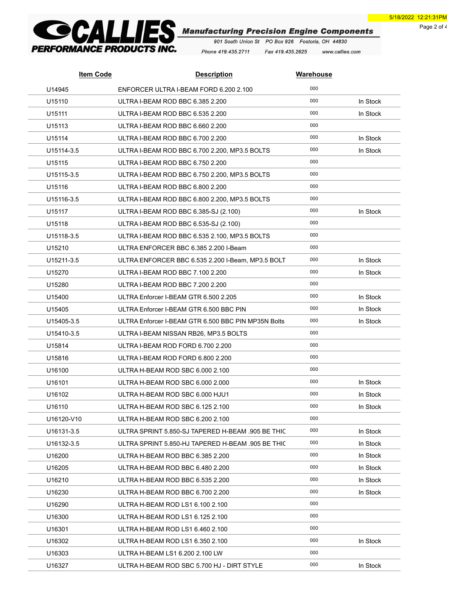Page 2 of 4



Phone 419.435.2711 Fax 419.435.2625 www.callies.com

| <b>Item Code</b> | <b>Description</b>                                  | <b>Warehouse</b> |          |
|------------------|-----------------------------------------------------|------------------|----------|
| U14945           | ENFORCER ULTRA I-BEAM FORD 6.200 2.100              | 000              |          |
| U15110           | ULTRA I-BEAM ROD BBC 6.385 2.200                    | 000              | In Stock |
| U15111           | ULTRA I-BEAM ROD BBC 6.535 2.200                    | 000              | In Stock |
| U15113           | ULTRA I-BEAM ROD BBC 6.660 2.200                    | 000              |          |
| U15114           | ULTRA I-BEAM ROD BBC 6.700 2.200                    | 000              | In Stock |
| U15114-3.5       | ULTRA I-BEAM ROD BBC 6.700 2.200, MP3.5 BOLTS       | 000              | In Stock |
| U15115           | ULTRA I-BEAM ROD BBC 6.750 2.200                    | 000              |          |
| U15115-3.5       | ULTRA I-BEAM ROD BBC 6.750 2.200, MP3.5 BOLTS       | 000              |          |
| U15116           | ULTRA I-BEAM ROD BBC 6.800 2.200                    | 000              |          |
| U15116-3.5       | ULTRA I-BEAM ROD BBC 6.800 2.200, MP3.5 BOLTS       | 000              |          |
| U15117           | ULTRA I-BEAM ROD BBC 6.385-SJ (2.100)               | 000              | In Stock |
| U15118           | ULTRA I-BEAM ROD BBC 6.535-SJ (2.100)               | 000              |          |
| U15118-3.5       | ULTRA I-BEAM ROD BBC 6.535 2.100, MP3.5 BOLTS       | 000              |          |
| U15210           | ULTRA ENFORCER BBC 6.385 2.200 I-Beam               | 000              |          |
| U15211-3.5       | ULTRA ENFORCER BBC 6.535 2.200 I-Beam, MP3.5 BOLT   | 000              | In Stock |
| U15270           | ULTRA I-BEAM ROD BBC 7.100 2.200                    | 000              | In Stock |
| U15280           | ULTRA I-BEAM ROD BBC 7.200 2.200                    | 000              |          |
| U15400           | ULTRA Enforcer I-BEAM GTR 6.500 2.205               | 000              | In Stock |
| U15405           | ULTRA Enforcer I-BEAM GTR 6.500 BBC PIN             | 000              | In Stock |
| U15405-3.5       | ULTRA Enforcer I-BEAM GTR 6.500 BBC PIN MP35N Bolts | 000              | In Stock |
| U15410-3.5       | ULTRA I-BEAM NISSAN RB26, MP3.5 BOLTS               | 000              |          |
| U15814           | ULTRA I-BEAM ROD FORD 6.700 2.200                   | 000              |          |
| U15816           | ULTRA I-BEAM ROD FORD 6.800 2.200                   | 000              |          |
| U16100           | ULTRA H-BEAM ROD SBC 6.000 2.100                    | 000              |          |
| U16101           | ULTRA H-BEAM ROD SBC 6.000 2.000                    | 000              | In Stock |
| U16102           | ULTRA H-BEAM ROD SBC 6.000 HJU1                     | 000              | In Stock |
| U16110           | ULTRA H-BEAM ROD SBC 6.125 2.100                    | 000              | In Stock |
| U16120-V10       | ULTRA H-BEAM ROD SBC 6.200 2.100                    | 000              |          |
| U16131-3.5       | ULTRA SPRINT 5.850-SJ TAPERED H-BEAM .905 BE THIC   | 000              | In Stock |
| U16132-3.5       | ULTRA SPRINT 5.850-HJ TAPERED H-BEAM .905 BE THIC   | 000              | In Stock |
| U16200           | ULTRA H-BEAM ROD BBC 6.385 2.200                    | 000              | In Stock |
| U16205           | ULTRA H-BEAM ROD BBC 6.480 2.200                    | 000              | In Stock |
| U16210           | ULTRA H-BEAM ROD BBC 6.535 2.200                    | 000              | In Stock |
| U16230           | ULTRA H-BEAM ROD BBC 6.700 2.200                    | 000              | In Stock |
| U16290           | ULTRA H-BEAM ROD LS1 6.100 2.100                    | 000              |          |
| U16300           | ULTRA H-BEAM ROD LS1 6.125 2.100                    | 000              |          |
| U16301           | ULTRA H-BEAM ROD LS1 6.460 2.100                    | 000              |          |
| U16302           | ULTRA H-BEAM ROD LS1 6.350 2.100                    | 000              | In Stock |
| U16303           | ULTRA H-BEAM LS1 6.200 2.100 LW                     | 000              |          |
| U16327           | ULTRA H-BEAM ROD SBC 5.700 HJ - DIRT STYLE          | 000              | In Stock |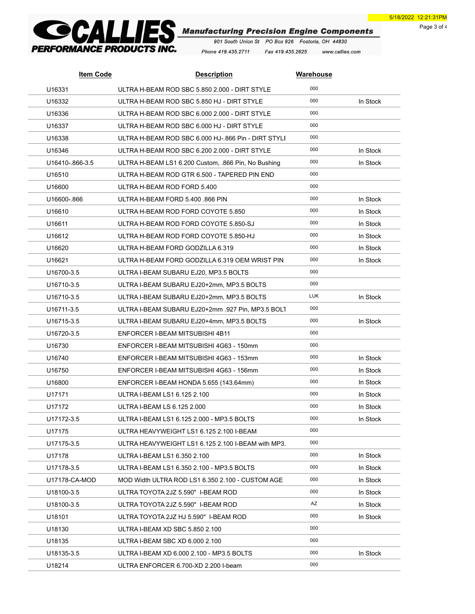Page 3 of 4



Phone 419.435.2711 Fax 419.435.2625 www.callies.com

| <b>Item Code</b> | <b>Description</b>                                  | <b>Warehouse</b> |          |
|------------------|-----------------------------------------------------|------------------|----------|
| U16331           | ULTRA H-BEAM ROD SBC 5.850 2.000 - DIRT STYLE       | 000              |          |
| U16332           | ULTRA H-BEAM ROD SBC 5.850 HJ - DIRT STYLE          | 000              | In Stock |
| U16336           | ULTRA H-BEAM ROD SBC 6,000 2,000 - DIRT STYLE       | 000              |          |
| U16337           | ULTRA H-BEAM ROD SBC 6.000 HJ - DIRT STYLE          | 000              |          |
| U16338           | ULTRA H-BEAM ROD SBC 6.000 HJ-.866 Pin - DIRT STYLI | 000              |          |
| U16346           | ULTRA H-BEAM ROD SBC 6.200 2.000 - DIRT STYLE       | 000              | In Stock |
| U16410-866-3.5   | ULTRA H-BEAM LS1 6.200 Custom. .866 Pin. No Bushing | 000              | In Stock |
| U16510           | ULTRA H-BEAM ROD GTR 6.500 - TAPERED PIN END        | 000              |          |
| U16600           | ULTRA H-BEAM ROD FORD 5.400                         | 000              |          |
| U16600-866       | ULTRA H-BEAM FORD 5.400 .866 PIN                    | 000              | In Stock |
| U16610           | ULTRA H-BEAM ROD FORD COYOTE 5.850                  | 000              | In Stock |
| U16611           | ULTRA H-BEAM ROD FORD COYOTE 5.850-SJ               | 000              | In Stock |
| U16612           | ULTRA H-BEAM ROD FORD COYOTE 5.850-HJ               | 000              | In Stock |
| U16620           | ULTRA H-BEAM FORD GODZILLA 6.319                    | 000              | In Stock |
| U16621           | ULTRA H-BEAM FORD GODZILLA 6.319 OEM WRIST PIN      | 000              | In Stock |
| U16700-3.5       | ULTRA I-BEAM SUBARU EJ20, MP3.5 BOLTS               | 000              |          |
| U16710-3.5       | ULTRA I-BEAM SUBARU EJ20+2mm, MP3.5 BOLTS           | 000              |          |
| U16710-3.5       | ULTRA I-BEAM SUBARU EJ20+2mm, MP3.5 BOLTS           | <b>LUK</b>       | In Stock |
| U16711-3.5       | ULTRA I-BEAM SUBARU EJ20+2mm .927 Pin, MP3.5 BOLT   | 000              |          |
| U16715-3.5       | ULTRA I-BEAM SUBARU EJ20+4mm, MP3.5 BOLTS           | 000              | In Stock |
| U16720-3.5       | ENFORCER I-BEAM MITSUBISHI 4B11                     | 000              |          |
| U16730           | ENFORCER I-BEAM MITSUBISHI 4G63 - 150mm             | 000              |          |
| U16740           | ENFORCER I-BEAM MITSUBISHI 4G63 - 153mm             | 000              | In Stock |
| U16750           | ENFORCER I-BEAM MITSUBISHI 4G63 - 156mm             | 000              | In Stock |
| U16800           | ENFORCER I-BEAM HONDA 5.655 (143.64mm)              | 000              | In Stock |
| U17171           | ULTRA I-BEAM LS1 6.125 2.100                        | 000              | In Stock |
| U17172           | ULTRA I-BEAM LS 6.125 2.000                         | 000              | In Stock |
| U17172-3.5       | ULTRA I-BEAM LS1 6.125 2.000 - MP3.5 BOLTS          | 000              | In Stock |
| U17175           | ULTRA HEAVYWEIGHT LS1 6.125 2.100 I-BEAM            | 000              |          |
| U17175-3.5       | ULTRA HEAVYWEIGHT LS1 6.125 2.100 I-BEAM with MP3.  | 000              |          |
| U17178           | ULTRA I-BEAM LS1 6.350 2.100                        | 000              | In Stock |
| U17178-3.5       | ULTRA I-BEAM LS1 6.350 2.100 - MP3.5 BOLTS          | 000              | In Stock |
| U17178-CA-MOD    | MOD Width ULTRA ROD LS1 6.350 2.100 - CUSTOM AGE    | 000              | In Stock |
| U18100-3.5       | ULTRA TOYOTA 2JZ 5.590" I-BEAM ROD                  | 000              | In Stock |
| U18100-3.5       | ULTRA TOYOTA 2JZ 5.590" I-BEAM ROD                  | AZ               | In Stock |
| U18101           | ULTRA TOYOTA 2JZ HJ 5.590" I-BEAM ROD               | 000              | In Stock |
| U18130           | ULTRA I-BEAM XD SBC 5.850 2.100                     | 000              |          |
| U18135           | ULTRA I-BEAM SBC XD 6.000 2.100                     | 000              |          |
| U18135-3.5       | ULTRA I-BEAM XD 6.000 2.100 - MP3.5 BOLTS           | 000              | In Stock |
| U18214           | ULTRA ENFORCER 6.700-XD 2.200 I-beam                | 000              |          |
|                  |                                                     |                  |          |